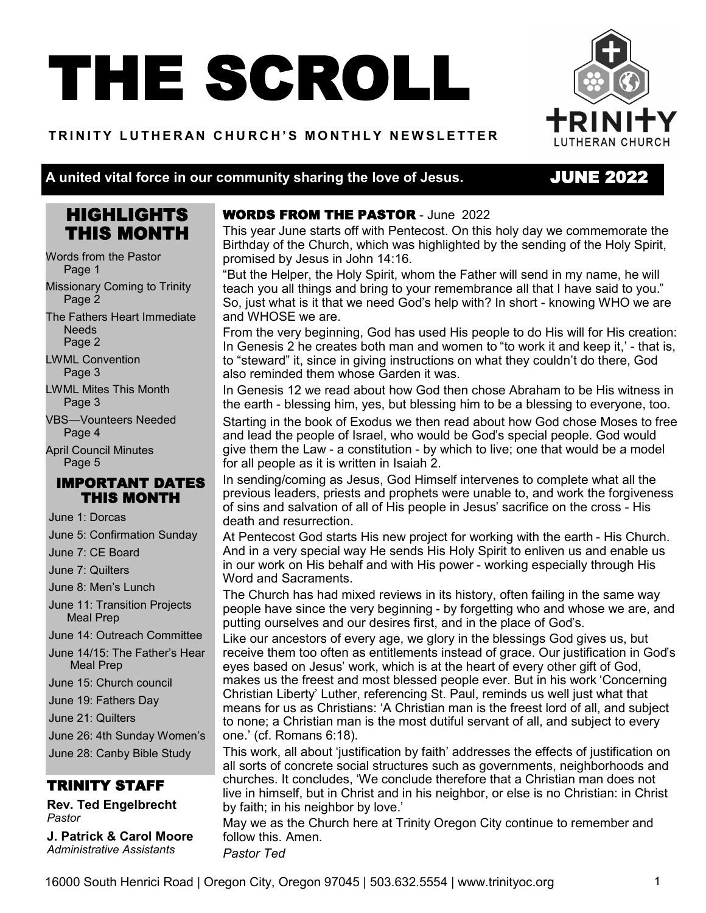# THE SCROLL

#### **T R I N I T Y L U T H E R A N C H U RCH ' S M O N T H L Y N E W S L E T T E R**



#### **A united vital force in our community sharing the love of Jesus.**

### JUNE 2022

## HIGHLIGHTS THIS MONTH

Words from the Pastor Page 1

Missionary Coming to Trinity Page 2

The Fathers Heart Immediate **Needs** Page 2

LWML Convention Page 3

LWML Mites This Month Page 3

VBS—Vounteers Needed Page 4

April Council Minutes Page 5

#### IMPORTANT DATES THIS MONTH

June 1: Dorcas

June 5: Confirmation Sunday

June 7: CE Board

June 7: Quilters

June 8: Men's Lunch

June 11: Transition Projects Meal Prep

June 14: Outreach Committee

June 14/15: The Father's Hear Meal Prep

June 15: Church council

June 19: Fathers Day

June 21: Quilters

June 26: 4th Sunday Women's

June 28: Canby Bible Study

TRINITY STAFF

**Rev. Ted Engelbrecht** *Pastor*

**J. Patrick & Carol Moore** *Administrative Assistants*

#### WORDS FROM THE PASTOR - June 2022

This year June starts off with Pentecost. On this holy day we commemorate the Birthday of the Church, which was highlighted by the sending of the Holy Spirit, promised by Jesus in John 14:16.

"But the Helper, the Holy Spirit, whom the Father will send in my name, he will teach you all things and bring to your remembrance all that I have said to you." So, just what is it that we need God's help with? In short - knowing WHO we are and WHOSE we are.

From the very beginning, God has used His people to do His will for His creation: In Genesis 2 he creates both man and women to "to work it and keep it,' - that is, to "steward" it, since in giving instructions on what they couldn't do there, God also reminded them whose Garden it was.

In Genesis 12 we read about how God then chose Abraham to be His witness in the earth - blessing him, yes, but blessing him to be a blessing to everyone, too.

Starting in the book of Exodus we then read about how God chose Moses to free and lead the people of Israel, who would be God's special people. God would give them the Law - a constitution - by which to live; one that would be a model for all people as it is written in Isaiah 2.

In sending/coming as Jesus, God Himself intervenes to complete what all the previous leaders, priests and prophets were unable to, and work the forgiveness of sins and salvation of all of His people in Jesus' sacrifice on the cross - His death and resurrection.

At Pentecost God starts His new project for working with the earth - His Church. And in a very special way He sends His Holy Spirit to enliven us and enable us in our work on His behalf and with His power - working especially through His Word and Sacraments.

The Church has had mixed reviews in its history, often failing in the same way people have since the very beginning - by forgetting who and whose we are, and putting ourselves and our desires first, and in the place of God's.

Like our ancestors of every age, we glory in the blessings God gives us, but receive them too often as entitlements instead of grace. Our justification in God's eyes based on Jesus' work, which is at the heart of every other gift of God, makes us the freest and most blessed people ever. But in his work 'Concerning Christian Liberty' Luther, referencing St. Paul, reminds us well just what that means for us as Christians: 'A Christian man is the freest lord of all, and subject to none; a Christian man is the most dutiful servant of all, and subject to every one.' (cf. Romans 6:18).

This work, all about 'justification by faith' addresses the effects of justification on all sorts of concrete social structures such as governments, neighborhoods and churches. It concludes, 'We conclude therefore that a Christian man does not live in himself, but in Christ and in his neighbor, or else is no Christian: in Christ by faith; in his neighbor by love.'

May we as the Church here at Trinity Oregon City continue to remember and follow this. Amen.

*Pastor Ted*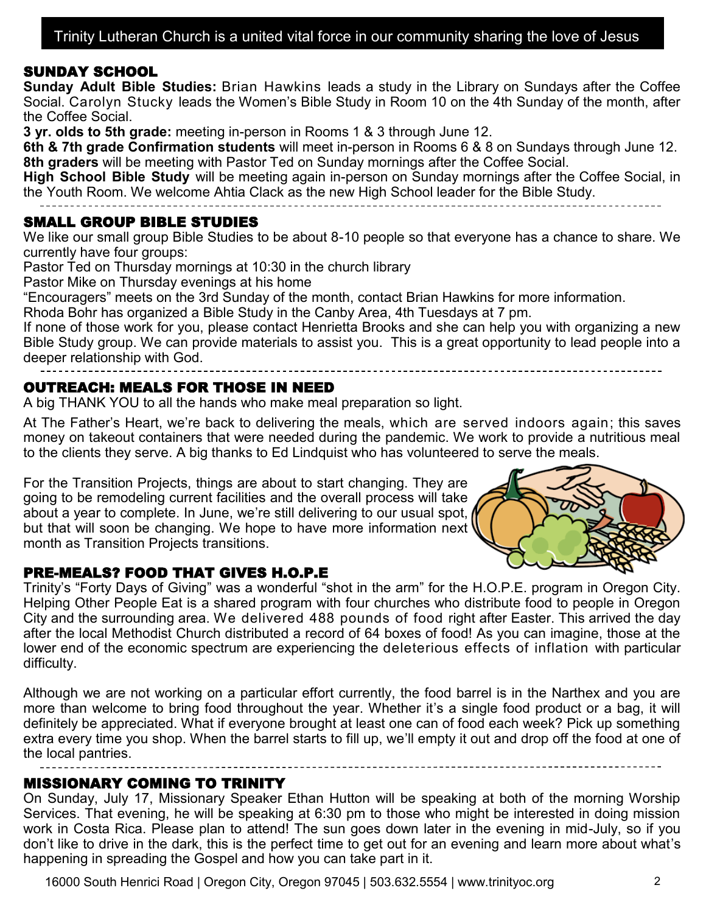#### SUNDAY SCHOOL

**Sunday Adult Bible Studies:** Brian Hawkins leads a study in the Library on Sundays after the Coffee Social. Carolyn Stucky leads the Women's Bible Study in Room 10 on the 4th Sunday of the month, after the Coffee Social.

**3 yr. olds to 5th grade:** meeting in-person in Rooms 1 & 3 through June 12.

**6th & 7th grade Confirmation students** will meet in-person in Rooms 6 & 8 on Sundays through June 12. **8th graders** will be meeting with Pastor Ted on Sunday mornings after the Coffee Social.

**High School Bible Study** will be meeting again in-person on Sunday mornings after the Coffee Social, in the Youth Room. We welcome Ahtia Clack as the new High School leader for the Bible Study.

#### SMALL GROUP BIBLE STUDIES

We like our small group Bible Studies to be about 8-10 people so that everyone has a chance to share. We currently have four groups:

Pastor Ted on Thursday mornings at 10:30 in the church library

Pastor Mike on Thursday evenings at his home

"Encouragers" meets on the 3rd Sunday of the month, contact Brian Hawkins for more information.

Rhoda Bohr has organized a Bible Study in the Canby Area, 4th Tuesdays at 7 pm.

If none of those work for you, please contact Henrietta Brooks and she can help you with organizing a new Bible Study group. We can provide materials to assist you. This is a great opportunity to lead people into a deeper relationship with God.

#### OUTREACH: MEALS FOR THOSE IN NEED

A big THANK YOU to all the hands who make meal preparation so light.

At The Father's Heart, we're back to delivering the meals, which are served indoors again; this saves money on takeout containers that were needed during the pandemic. We work to provide a nutritious meal to the clients they serve. A big thanks to Ed Lindquist who has volunteered to serve the meals.

For the Transition Projects, things are about to start changing. They are going to be remodeling current facilities and the overall process will take about a year to complete. In June, we're still delivering to our usual spot, *I* but that will soon be changing. We hope to have more information next month as Transition Projects transitions.



#### PRE-MEALS? FOOD THAT GIVES H.O.P.E

Trinity's "Forty Days of Giving" was a wonderful "shot in the arm" for the H.O.P.E. program in Oregon City. Helping Other People Eat is a shared program with four churches who distribute food to people in Oregon City and the surrounding area. We delivered 488 pounds of food right after Easter. This arrived the day after the local Methodist Church distributed a record of 64 boxes of food! As you can imagine, those at the lower end of the economic spectrum are experiencing the deleterious effects of inflation with particular difficulty.

Although we are not working on a particular effort currently, the food barrel is in the Narthex and you are more than welcome to bring food throughout the year. Whether it's a single food product or a bag, it will definitely be appreciated. What if everyone brought at least one can of food each week? Pick up something extra every time you shop. When the barrel starts to fill up, we'll empty it out and drop off the food at one of the local pantries.

#### MISSIONARY COMING TO TRINITY

On Sunday, July 17, Missionary Speaker Ethan Hutton will be speaking at both of the morning Worship Services. That evening, he will be speaking at 6:30 pm to those who might be interested in doing mission work in Costa Rica. Please plan to attend! The sun goes down later in the evening in mid-July, so if you don't like to drive in the dark, this is the perfect time to get out for an evening and learn more about what's happening in spreading the Gospel and how you can take part in it.

16000 South Henrici Road | Oregon City, Oregon 97045 | 503.632.5554 | www.trinityoc.org 2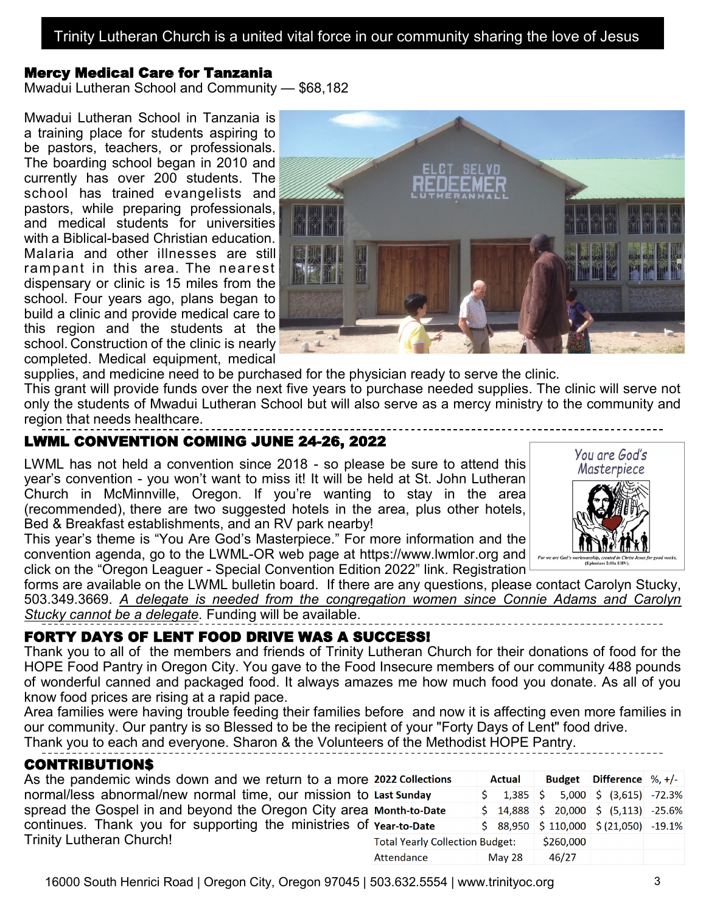#### Mercy Medical Care for Tanzania

Mwadui Lutheran School and Community — \$68,182

Mwadui Lutheran School in Tanzania is a training place for students aspiring to be pastors, teachers, or professionals. The boarding school began in 2010 and currently has over 200 students. The school has trained evangelists and pastors, while preparing professionals, and medical students for universities with a Biblical-based Christian education. Malaria and other illnesses are still rampant in this area. The nearest dispensary or clinic is 15 miles from the school. Four years ago, plans began to build a clinic and provide medical care to this region and the students at the school. Construction of the clinic is nearly completed. Medical equipment, medical



supplies, and medicine need to be purchased for the physician ready to serve the clinic.

This grant will provide funds over the next five years to purchase needed supplies. The clinic will serve not only the students of Mwadui Lutheran School but will also serve as a mercy ministry to the community and region that needs healthcare.

#### LWML CONVENTION COMING JUNE 24-26, 2022

LWML has not held a convention since 2018 - so please be sure to attend this year's convention - you won't want to miss it! It will be held at St. John Lutheran Church in McMinnville, Oregon. If you're wanting to stay in the area (recommended), there are two suggested hotels in the area, plus other hotels, Bed & Breakfast establishments, and an RV park nearby!

You are God's Masterpiece

This year's theme is "You Are God's Masterpiece." For more information and the convention agenda, go to the LWML-OR web page at https://www.lwmlor.org and click on the "Oregon Leaguer - Special Convention Edition 2022" link. Registration

forms are available on the LWML bulletin board. If there are any questions, please contact Carolyn Stucky, 503.349.3669. *A delegate is needed from the congregation women since Connie Adams and Carolyn Stucky cannot be a delegate.* Funding will be available.

#### FORTY DAYS OF LENT FOOD DRIVE WAS A SUCCESS!

Thank you to all of the members and friends of Trinity Lutheran Church for their donations of food for the HOPE Food Pantry in Oregon City. You gave to the Food Insecure members of our community 488 pounds of wonderful canned and packaged food. It always amazes me how much food you donate. As all of you know food prices are rising at a rapid pace.

Area families were having trouble feeding their families before and now it is affecting even more families in our community. Our pantry is so Blessed to be the recipient of your "Forty Days of Lent" food drive.

Thank you to each and everyone. Sharon & the Volunteers of the Methodist HOPE Pantry.

#### CONTRIBUTION\$

As the pandemic winds down and we return to a more normal/less abnormal/new normal time, our mission to spread the Gospel in and beyond the Oregon City area continues. Thank you for supporting the ministries of Trinity Lutheran Church!

| <b>2022 Collections</b>                | <b>Actual</b> |                                                                        |  |           | Budget Difference $\%$ , +/- |                                                  |  |
|----------------------------------------|---------------|------------------------------------------------------------------------|--|-----------|------------------------------|--------------------------------------------------|--|
| <b>Last Sunday</b>                     | Ś.            | 1,385                                                                  |  |           |                              | $\frac{1}{2}$ 5,000 $\frac{1}{2}$ (3,615) -72.3% |  |
| <b>Month-to-Date</b>                   |               | $\frac{1}{2}$ 14,888 $\frac{1}{2}$ 20,000 $\frac{1}{2}$ (5,113) -25.6% |  |           |                              |                                                  |  |
| <b>Year-to-Date</b>                    |               | \$88,950                                                               |  | \$110,000 |                              | $\frac{1}{2}$ (21,050) -19.1%                    |  |
| <b>Total Yearly Collection Budget:</b> |               |                                                                        |  | \$260,000 |                              |                                                  |  |
| Attendance                             |               | May 28                                                                 |  | 46/27     |                              |                                                  |  |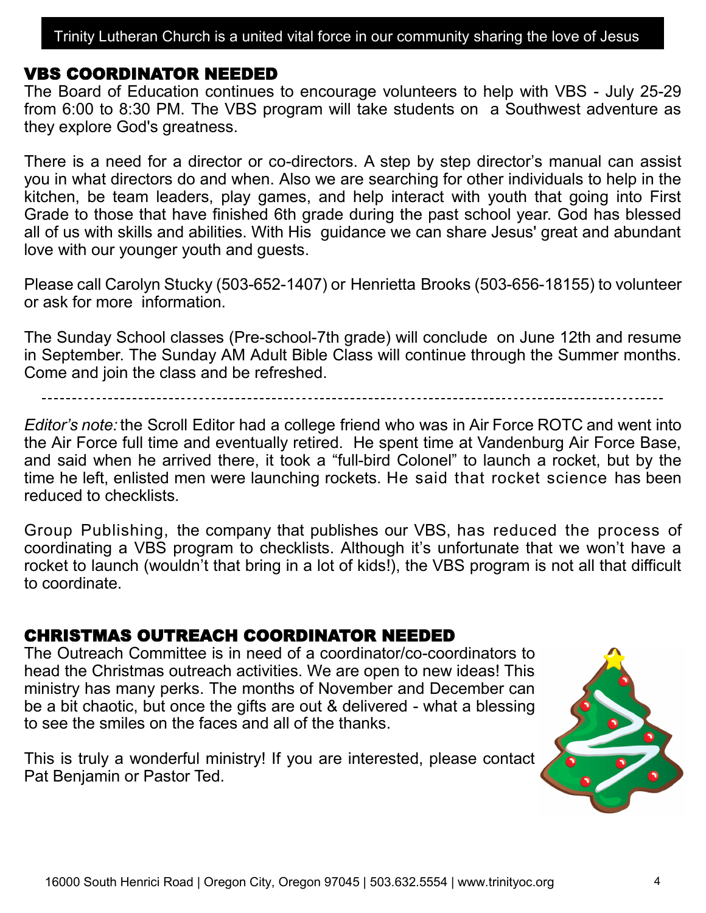#### VBS COORDINATOR NEEDED

The Board of Education continues to encourage volunteers to help with VBS - July 25-29 from 6:00 to 8:30 PM. The VBS program will take students on a Southwest adventure as they explore God's greatness.

There is a need for a director or co-directors. A step by step director's manual can assist you in what directors do and when. Also we are searching for other individuals to help in the kitchen, be team leaders, play games, and help interact with youth that going into First Grade to those that have finished 6th grade during the past school year. God has blessed all of us with skills and abilities. With His guidance we can share Jesus' great and abundant love with our younger youth and guests.

Please call Carolyn Stucky (503-652-1407) or Henrietta Brooks (503-656-18155) to volunteer or ask for more information.

The Sunday School classes (Pre-school-7th grade) will conclude on June 12th and resume in September. The Sunday AM Adult Bible Class will continue through the Summer months. Come and join the class and be refreshed.

*Editor's note:* the Scroll Editor had a college friend who was in Air Force ROTC and went into the Air Force full time and eventually retired. He spent time at Vandenburg Air Force Base, and said when he arrived there, it took a "full-bird Colonel" to launch a rocket, but by the time he left, enlisted men were launching rockets. He said that rocket science has been reduced to checklists.

Group Publishing, the company that publishes our VBS, has reduced the process of coordinating a VBS program to checklists. Although it's unfortunate that we won't have a rocket to launch (wouldn't that bring in a lot of kids!), the VBS program is not all that difficult to coordinate.

## CHRISTMAS OUTREACH COORDINATOR NEEDED

The Outreach Committee is in need of a coordinator/co-coordinators to head the Christmas outreach activities. We are open to new ideas! This ministry has many perks. The months of November and December can be a bit chaotic, but once the gifts are out & delivered - what a blessing to see the smiles on the faces and all of the thanks.

This is truly a wonderful ministry! If you are interested, please contact Pat Benjamin or Pastor Ted.

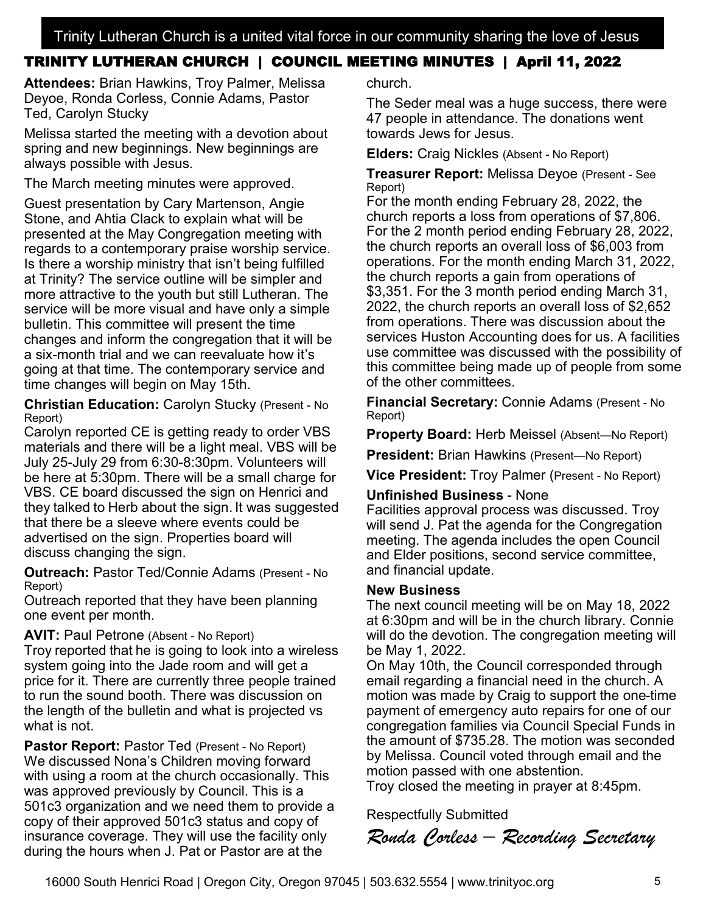### TRINITY LUTHERAN CHURCH | COUNCIL MEETING MINUTES | April 11, 2022

**Attendees:** Brian Hawkins, Troy Palmer, Melissa Deyoe, Ronda Corless, Connie Adams, Pastor Ted, Carolyn Stucky

Melissa started the meeting with a devotion about spring and new beginnings. New beginnings are always possible with Jesus.

The March meeting minutes were approved.

Guest presentation by Cary Martenson, Angie Stone, and Ahtia Clack to explain what will be presented at the May Congregation meeting with regards to a contemporary praise worship service. Is there a worship ministry that isn't being fulfilled at Trinity? The service outline will be simpler and more attractive to the youth but still Lutheran. The service will be more visual and have only a simple bulletin. This committee will present the time changes and inform the congregation that it will be a six-month trial and we can reevaluate how it's going at that time. The contemporary service and time changes will begin on May 15th.

**Christian Education:** Carolyn Stucky (Present - No Report)

Carolyn reported CE is getting ready to order VBS materials and there will be a light meal. VBS will be July 25-July 29 from 6:30-8:30pm. Volunteers will be here at 5:30pm. There will be a small charge for VBS. CE board discussed the sign on Henrici and they talked to Herb about the sign. It was suggested that there be a sleeve where events could be advertised on the sign. Properties board will discuss changing the sign.

**Outreach:** Pastor Ted/Connie Adams (Present - No Report)

Outreach reported that they have been planning one event per month.

#### **AVIT: Paul Petrone (Absent - No Report)**

Troy reported that he is going to look into a wireless system going into the Jade room and will get a price for it. There are currently three people trained to run the sound booth. There was discussion on the length of the bulletin and what is projected vs what is not.

**Pastor Report: Pastor Ted (Present - No Report)** We discussed Nona's Children moving forward with using a room at the church occasionally. This was approved previously by Council. This is a 501c3 organization and we need them to provide a copy of their approved 501c3 status and copy of insurance coverage. They will use the facility only during the hours when J. Pat or Pastor are at the

church.

The Seder meal was a huge success, there were 47 people in attendance. The donations went towards Jews for Jesus.

**Elders:** Craig Nickles (Absent - No Report)

**Treasurer Report:** Melissa Deyoe (Present - See Report)

For the month ending February 28, 2022, the church reports a loss from operations of \$7,806. For the 2 month period ending February 28, 2022, the church reports an overall loss of \$6,003 from operations. For the month ending March 31, 2022, the church reports a gain from operations of \$3,351. For the 3 month period ending March 31, 2022, the church reports an overall loss of \$2,652 from operations. There was discussion about the services Huston Accounting does for us. A facilities use committee was discussed with the possibility of this committee being made up of people from some of the other committees.

**Financial Secretary:** Connie Adams (Present - No Report)

**Property Board:** Herb Meissel (Absent—No Report)

**President:** Brian Hawkins (Present—No Report)

**Vice President:** Troy Palmer (Present - No Report)

#### **Unfinished Business** - None

Facilities approval process was discussed. Troy will send J. Pat the agenda for the Congregation meeting. The agenda includes the open Council and Elder positions, second service committee, and financial update.

#### **New Business**

The next council meeting will be on May 18, 2022 at 6:30pm and will be in the church library. Connie will do the devotion. The congregation meeting will be May 1, 2022.

On May 10th, the Council corresponded through email regarding a financial need in the church. A motion was made by Craig to support the one-time payment of emergency auto repairs for one of our congregation families via Council Special Funds in the amount of \$735.28. The motion was seconded by Melissa. Council voted through email and the motion passed with one abstention.

Troy closed the meeting in prayer at 8:45pm.

Respectfully Submitted

*Ronda Corless – Recording Secretary*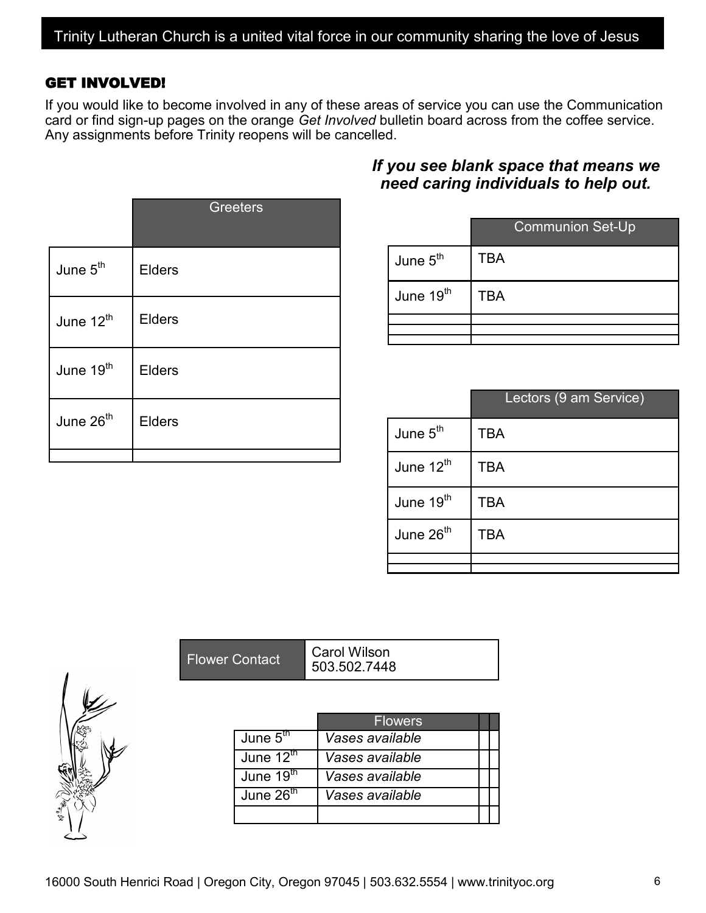#### GET INVOLVED!

If you would like to become involved in any of these areas of service you can use the Communication card or find sign-up pages on the orange *Get Involved* bulletin board across from the coffee service. Any assignments before Trinity reopens will be cancelled.

|                       | <b>Greeters</b> |
|-----------------------|-----------------|
| June 5 <sup>th</sup>  | <b>Elders</b>   |
| June 12 <sup>th</sup> | <b>Elders</b>   |
| June 19 <sup>th</sup> | <b>Elders</b>   |
| June 26 <sup>th</sup> | <b>Elders</b>   |
|                       |                 |

#### *If you see blank space that means we need caring individuals to help out.*

|                       | <b>Communion Set-Up</b> |
|-----------------------|-------------------------|
| June $5th$            | TBA                     |
| June 19 <sup>th</sup> | TBA                     |
|                       |                         |
|                       |                         |

| Lectors (9 am Service) |
|------------------------|
| TBA                    |
| <b>TBA</b>             |
| TBA                    |
| TBA                    |
|                        |
|                        |

|                       | <b>Flowers</b>  |  |
|-----------------------|-----------------|--|
| June $5th$            | Vases available |  |
| June $12^{\text{th}}$ | Vases available |  |
| June 19 <sup>th</sup> | Vases available |  |
| June $26th$           | Vases available |  |
|                       |                 |  |

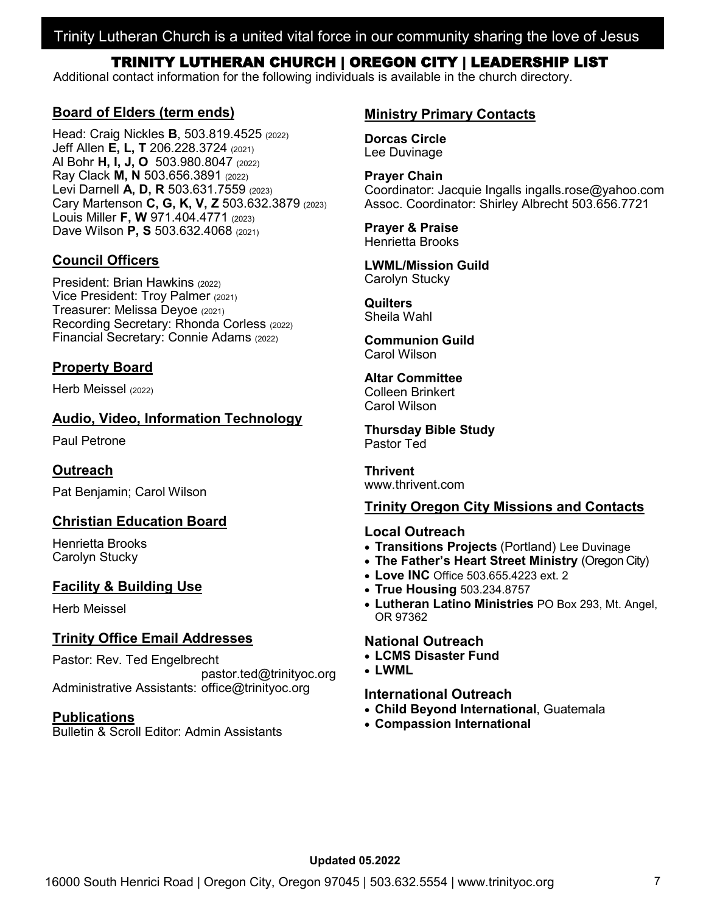#### Trinity Lutheran Church is a united vital force in our community sharing the love of Jesus

#### TRINITY LUTHERAN CHURCH | OREGON CITY | LEADERSHIP LIST

Additional contact information for the following individuals is available in the church directory.

#### **Board of Elders (term ends)**

Head: Craig Nickles **B**, 503.819.4525 (2022) Jeff Allen **E, L, T** 206.228.3724 (2021) Al Bohr **H, I, J, O** 503.980.8047 (2022) Ray Clack **M, N** 503.656.3891 (2022) Levi Darnell **A, D, R** 503.631.7559 (2023) Cary Martenson **C, G, K, V, Z** 503.632.3879 (2023) Louis Miller **F, W** 971.404.4771 (2023) Dave Wilson **P, S** 503.632.4068 (2021)

#### **Council Officers**

President: Brian Hawkins (2022) Vice President: Troy Palmer (2021) Treasurer: Melissa Deyoe (2021) Recording Secretary: Rhonda Corless (2022) Financial Secretary: Connie Adams (2022)

#### **Property Board**

Herb Meissel (2022)

#### **Audio, Video, Information Technology**

Paul Petrone

#### **Outreach**

Pat Benjamin; Carol Wilson

#### **Christian Education Board**

Henrietta Brooks Carolyn Stucky

#### **Facility & Building Use**

Herb Meissel

#### **Trinity Office Email Addresses**

Pastor: Rev. Ted Engelbrecht

pastor.ted@trinityoc.org Administrative Assistants: office@trinityoc.org

#### **Publications**

Bulletin & Scroll Editor: Admin Assistants

#### **Ministry Primary Contacts**

**Dorcas Circle** Lee Duvinage

**Prayer Chain** Coordinator: Jacquie Ingalls ingalls.rose@yahoo.com Assoc. Coordinator: Shirley Albrecht 503.656.7721

#### **Prayer & Praise** Henrietta Brooks

#### **LWML/Mission Guild** Carolyn Stucky

**Quilters**

## Sheila Wahl

**Communion Guild** Carol Wilson

#### **Altar Committee** Colleen Brinkert Carol Wilson

**Thursday Bible Study** Pastor Ted

**Thrivent** www.thrivent.com

#### **Trinity Oregon City Missions and Contacts**

#### **Local Outreach**

- **Transitions Projects** (Portland) Lee Duvinage
- **The Father's Heart Street Ministry** (Oregon City)
- **Love INC** Office 503.655.4223 ext. 2
- **True Housing** 503.234.8757
- **Lutheran Latino Ministries** PO Box 293, Mt. Angel, OR 97362

#### **National Outreach**

- **LCMS Disaster Fund**
- **LWML**

#### **International Outreach**

- **Child Beyond International**, Guatemala
- **Compassion International**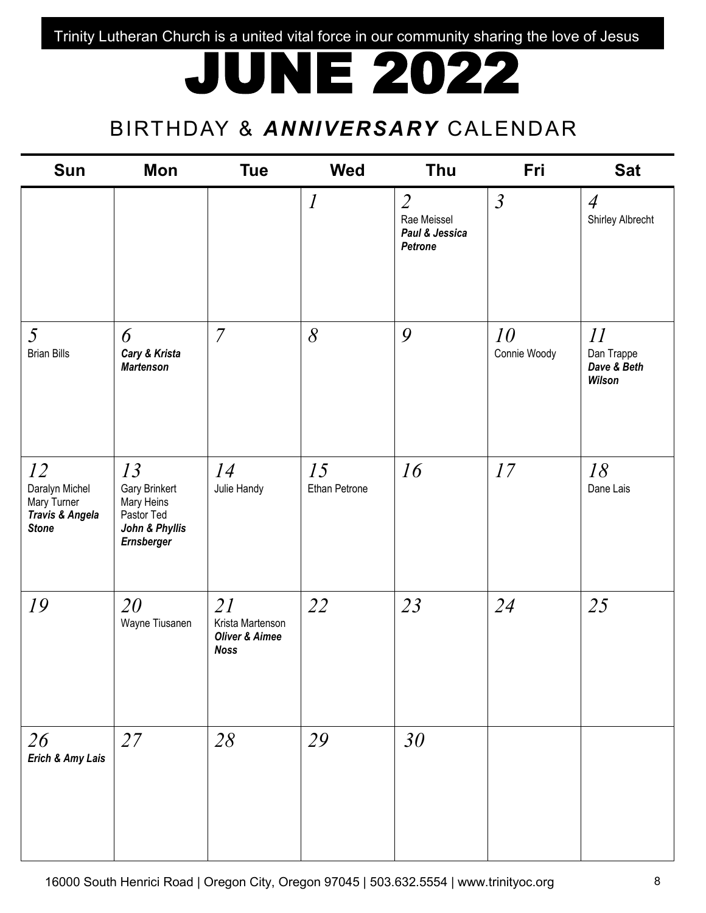Trinity Lutheran Church is a united vital force in our community sharing the love of Jesus

## JUNE 2022

## BIRTHDAY & *ANNIVERSARY* CALENDAR

| <b>Sun</b>                                                             | Mon                                                                                    | <b>Tue</b>                                                         | <b>Wed</b>                  | Thu                                                        | Fri                | <b>Sat</b>                                |
|------------------------------------------------------------------------|----------------------------------------------------------------------------------------|--------------------------------------------------------------------|-----------------------------|------------------------------------------------------------|--------------------|-------------------------------------------|
|                                                                        |                                                                                        |                                                                    | $\mathcal{I}_{\mathcal{I}}$ | $\overline{2}$<br>Rae Meissel<br>Paul & Jessica<br>Petrone | $\mathfrak{Z}$     | $\overline{4}$<br>Shirley Albrecht        |
| $5\overline{)}$<br><b>Brian Bills</b>                                  | 6<br>Cary & Krista<br><b>Martenson</b>                                                 | $\overline{7}$                                                     | $\delta$                    | 9                                                          | 10<br>Connie Woody | 11<br>Dan Trappe<br>Dave & Beth<br>Wilson |
| 12<br>Daralyn Michel<br>Mary Turner<br>Travis & Angela<br><b>Stone</b> | 13<br>Gary Brinkert<br>Mary Heins<br>Pastor Ted<br>John & Phyllis<br><b>Ernsberger</b> | 14<br>Julie Handy                                                  | 15<br>Ethan Petrone         | 16                                                         | 17                 | 18<br>Dane Lais                           |
| 19                                                                     | 20<br>Wayne Tiusanen                                                                   | 21<br>Krista Martenson<br><b>Oliver &amp; Aimee</b><br><b>Noss</b> | 22                          | 23                                                         | 24                 | 25                                        |
| 26<br>Erich & Amy Lais                                                 | 27                                                                                     | 28                                                                 | 29                          | 30                                                         |                    |                                           |